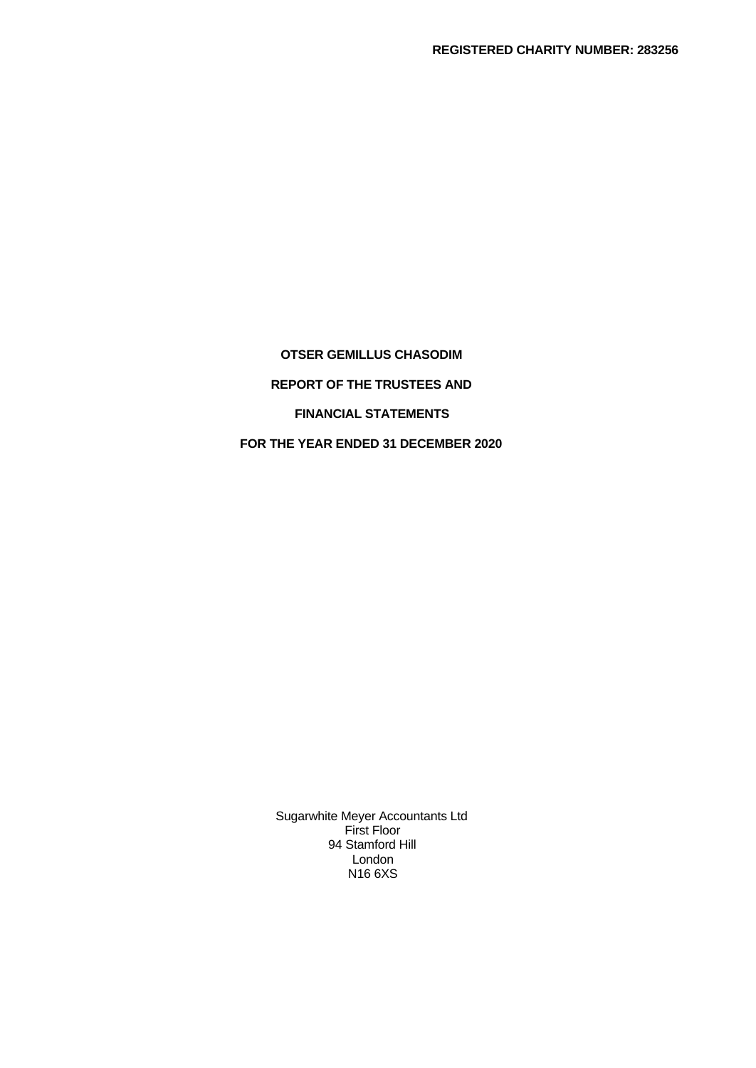**OTSER GEMILLUS CHASODIM REPORT OF THE TRUSTEES AND FINANCIAL STATEMENTS FOR THE YEAR ENDED 31 DECEMBER 2020**

> Sugarwhite Meyer Accountants Ltd First Floor 94 Stamford Hill London N16 6XS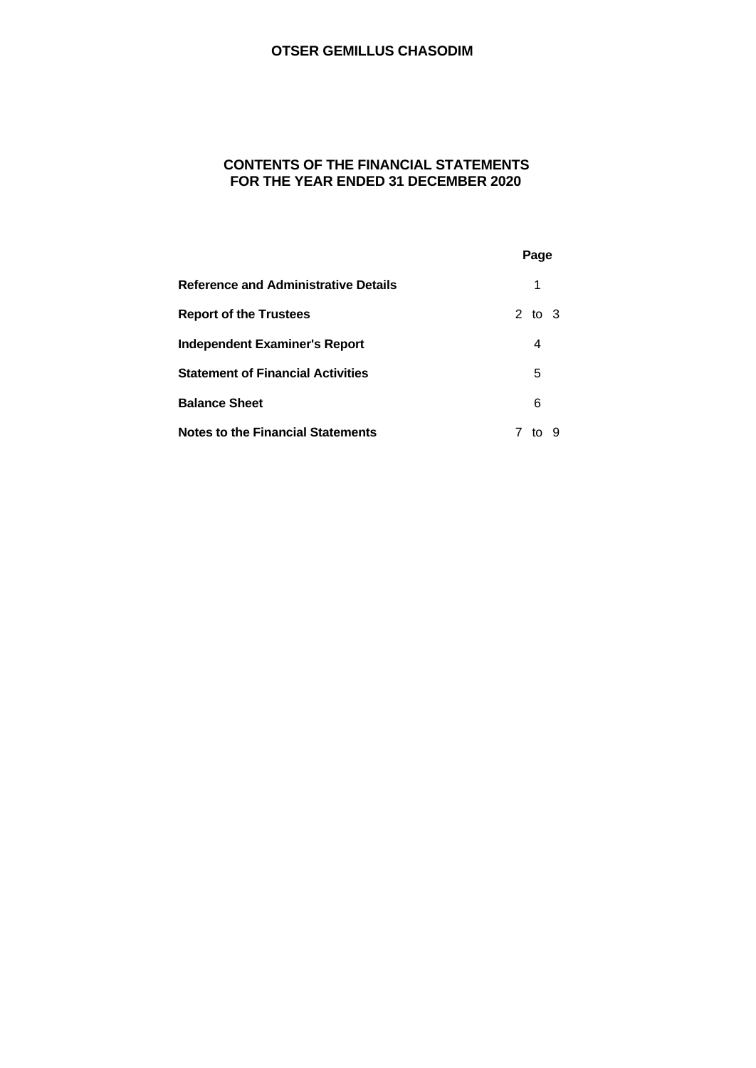# **CONTENTS OF THE FINANCIAL STATEMENTS FOR THE YEAR ENDED 31 DECEMBER 2020**

|                                             | Page    |  |
|---------------------------------------------|---------|--|
| <b>Reference and Administrative Details</b> | 1       |  |
| <b>Report of the Trustees</b>               | 2 to 3  |  |
| <b>Independent Examiner's Report</b>        | 4       |  |
| <b>Statement of Financial Activities</b>    | 5       |  |
| <b>Balance Sheet</b>                        | 6       |  |
| <b>Notes to the Financial Statements</b>    | 9<br>to |  |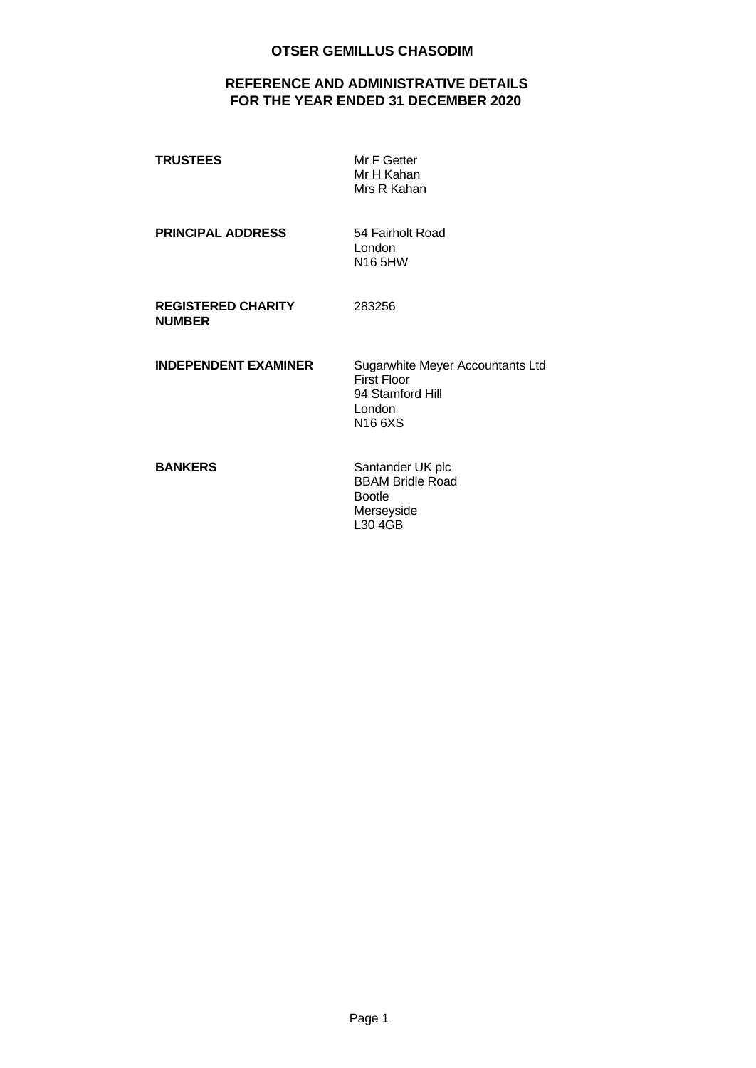# **REFERENCE AND ADMINISTRATIVE DETAILS FOR THE YEAR ENDED 31 DECEMBER 2020**

| <b>TRUSTEES</b>                            | Mr F Getter<br>Mr H Kahan<br>Mrs R Kahan                                                       |
|--------------------------------------------|------------------------------------------------------------------------------------------------|
| <b>PRINCIPAL ADDRESS</b>                   | 54 Fairholt Road<br>London<br>N16 5HW                                                          |
| <b>REGISTERED CHARITY</b><br><b>NUMBER</b> | 283256                                                                                         |
| <b>INDEPENDENT EXAMINER</b>                | Sugarwhite Meyer Accountants Ltd<br><b>First Floor</b><br>94 Stamford Hill<br>London<br>N166XS |
| <b>BANKERS</b>                             | Santander UK plc<br><b>BBAM Bridle Road</b><br><b>Bootle</b><br>Merseyside                     |

L30 4GB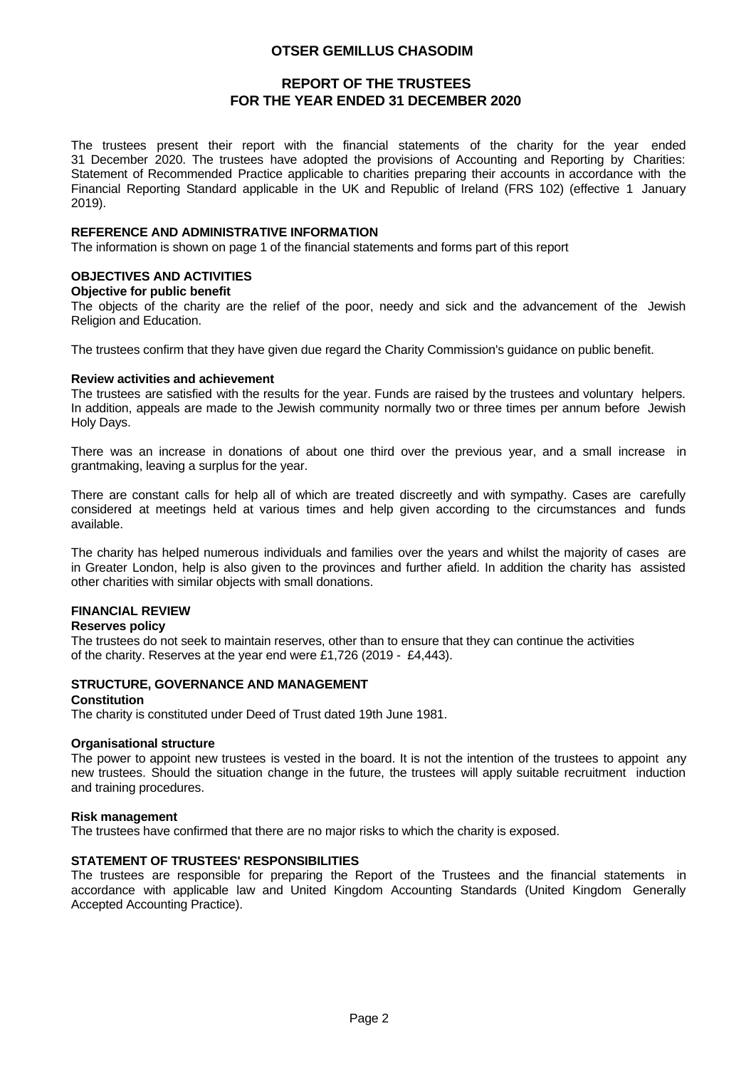# **REPORT OF THE TRUSTEES FOR THE YEAR ENDED 31 DECEMBER 2020**

The trustees present their report with the financial statements of the charity for the year ended 31 December 2020. The trustees have adopted the provisions of Accounting and Reporting by Charities: Statement of Recommended Practice applicable to charities preparing their accounts in accordance with the Financial Reporting Standard applicable in the UK and Republic of Ireland (FRS 102) (effective 1 January 2019).

#### **REFERENCE AND ADMINISTRATIVE INFORMATION**

The information is shown on page 1 of the financial statements and forms part of this report

#### **OBJECTIVES AND ACTIVITIES**

#### **Objective for public benefit**

The objects of the charity are the relief of the poor, needy and sick and the advancement of the Jewish Religion and Education.

The trustees confirm that they have given due regard the Charity Commission's guidance on public benefit.

#### **Review activities and achievement**

The trustees are satisfied with the results for the year. Funds are raised by the trustees and voluntary helpers. In addition, appeals are made to the Jewish community normally two or three times per annum before Jewish Holy Days.

There was an increase in donations of about one third over the previous year, and a small increase in grantmaking, leaving a surplus for the year.

There are constant calls for help all of which are treated discreetly and with sympathy. Cases are carefully considered at meetings held at various times and help given according to the circumstances and funds available.

The charity has helped numerous individuals and families over the years and whilst the majority of cases are in Greater London, help is also given to the provinces and further afield. In addition the charity has assisted other charities with similar objects with small donations.

#### **FINANCIAL REVIEW**

#### **Reserves policy**

The trustees do not seek to maintain reserves, other than to ensure that they can continue the activities of the charity. Reserves at the year end were £1,726 (2019 - £4,443).

#### **STRUCTURE, GOVERNANCE AND MANAGEMENT**

#### **Constitution**

The charity is constituted under Deed of Trust dated 19th June 1981.

#### **Organisational structure**

The power to appoint new trustees is vested in the board. It is not the intention of the trustees to appoint any new trustees. Should the situation change in the future, the trustees will apply suitable recruitment induction and training procedures.

#### **Risk management**

The trustees have confirmed that there are no major risks to which the charity is exposed.

#### **STATEMENT OF TRUSTEES' RESPONSIBILITIES**

The trustees are responsible for preparing the Report of the Trustees and the financial statements in accordance with applicable law and United Kingdom Accounting Standards (United Kingdom Generally Accepted Accounting Practice).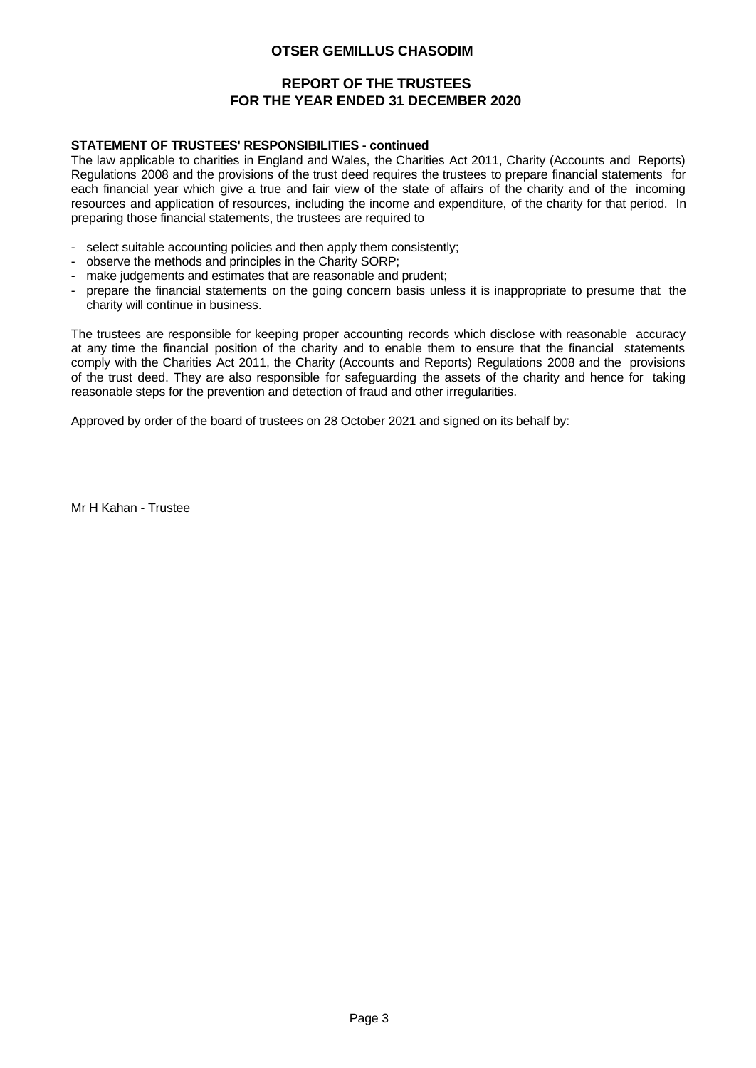# **REPORT OF THE TRUSTEES FOR THE YEAR ENDED 31 DECEMBER 2020**

#### **STATEMENT OF TRUSTEES' RESPONSIBILITIES - continued**

The law applicable to charities in England and Wales, the Charities Act 2011, Charity (Accounts and Reports) Regulations 2008 and the provisions of the trust deed requires the trustees to prepare financial statements for each financial year which give a true and fair view of the state of affairs of the charity and of the incoming resources and application of resources, including the income and expenditure, of the charity for that period. In

- 
- 
- 
- preparing those financial statements, the trustees are required to<br>
select suitable accounting policies and then apply them consistently;<br>
observe the methods and principles in the Charity SORP;<br>
make judgements and charity will continue in business.

The trustees are responsible for keeping proper accounting records which disclose with reasonable accuracy at any time the financial position of the charity and to enable them to ensure that the financial statements comply with the Charities Act 2011, the Charity (Accounts and Reports) Regulations 2008 and the provisions of the trust deed. They are also responsible for safeguarding the assets of the charity and hence for taking reasonable steps for the prevention and detection of fraud and other irregularities.

Approved by order of the board of trustees on 28 October 2021 and signed on its behalf by:

Mr H Kahan - Trustee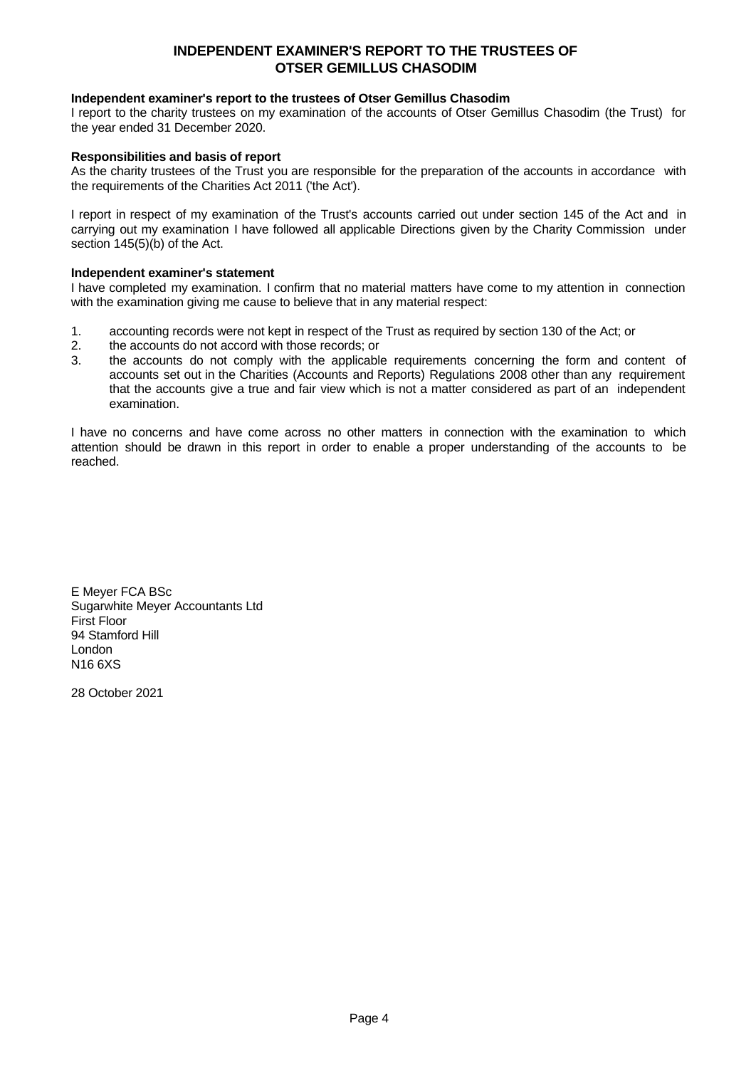# **INDEPENDENT EXAMINER'S REPORT TO THE TRUSTEES OF OTSER GEMILLUS CHASODIM**

### **Independent examiner's report to the trustees of Otser Gemillus Chasodim**

I report to the charity trustees on my examination of the accounts of Otser Gemillus Chasodim (the Trust) for the year ended 31 December 2020.

#### **Responsibilities and basis of report**

As the charity trustees of the Trust you are responsible for the preparation of the accounts in accordance with the requirements of the Charities Act 2011 ('the Act').

I report in respect of my examination of the Trust's accounts carried out under section 145 of the Act and in carrying out my examination I have followed all applicable Directions given by the Charity Commission under section 145(5)(b) of the Act.

#### **Independent examiner's statement**

I have completed my examination. I confirm that no material matters have come to my attention in connection with the examination giving me cause to believe that in any material respect:

- 1. accounting records were not kept in respect of the Trust as required by section 130 of the Act; or
- 2. the accounts do not accord with those records; or
- 3. the accounts do not comply with the applicable requirements concerning the form and content of accounts set out in the Charities (Accounts and Reports) Regulations 2008 other than any requirement that the accounts give a true and fair view which is not a matter considered as part of an independent examination.

I have no concerns and have come across no other matters in connection with the examination to which attention should be drawn in this report in order to enable a proper understanding of the accounts to be reached.

E Meyer FCA BSc Sugarwhite Meyer Accountants Ltd First Floor 94 Stamford Hill London N16 6XS

28 October 2021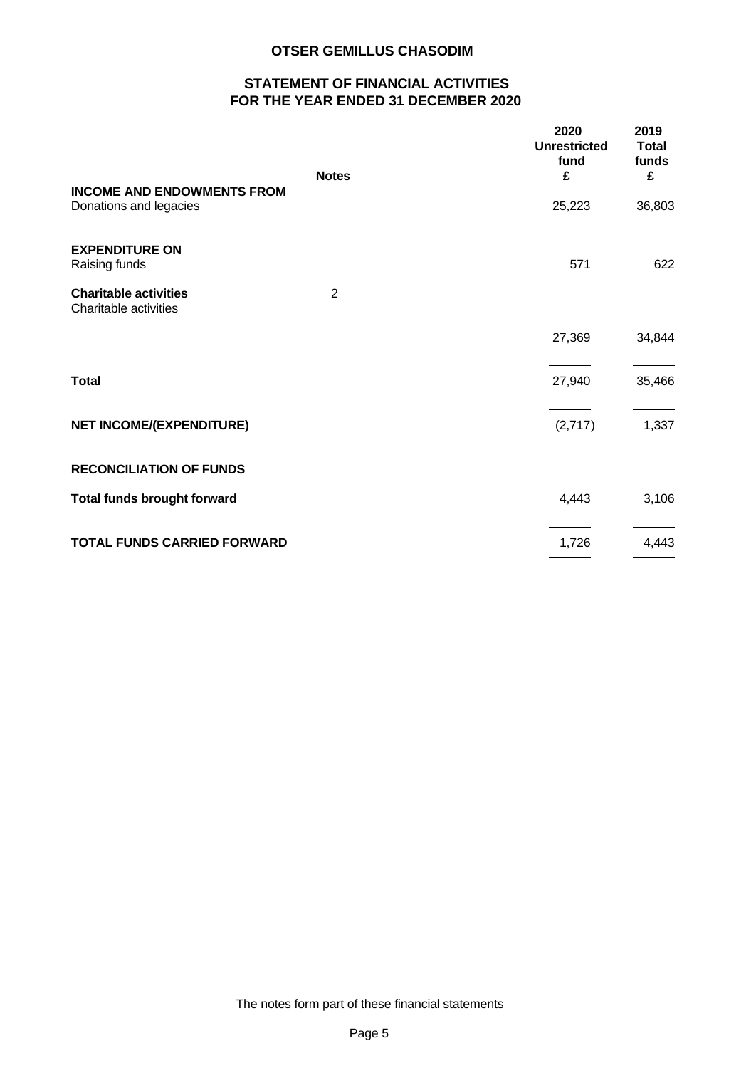# **STATEMENT OF FINANCIAL ACTIVITIES FOR THE YEAR ENDED 31 DECEMBER 2020**

| <b>Notes</b><br><b>INCOME AND ENDOWMENTS FROM</b><br>Donations and legacies | £<br>25,223 | £      |
|-----------------------------------------------------------------------------|-------------|--------|
|                                                                             |             |        |
|                                                                             |             | 36,803 |
| <b>EXPENDITURE ON</b><br>Raising funds                                      | 571         | 622    |
|                                                                             |             |        |
| $\overline{2}$<br><b>Charitable activities</b><br>Charitable activities     |             |        |
|                                                                             | 27,369      | 34,844 |
| <b>Total</b>                                                                | 27,940      | 35,466 |
|                                                                             |             |        |
| <b>NET INCOME/(EXPENDITURE)</b>                                             | (2,717)     | 1,337  |
| <b>RECONCILIATION OF FUNDS</b>                                              |             |        |
| <b>Total funds brought forward</b>                                          | 4,443       | 3,106  |
| <b>TOTAL FUNDS CARRIED FORWARD</b>                                          | 1,726       | 4,443  |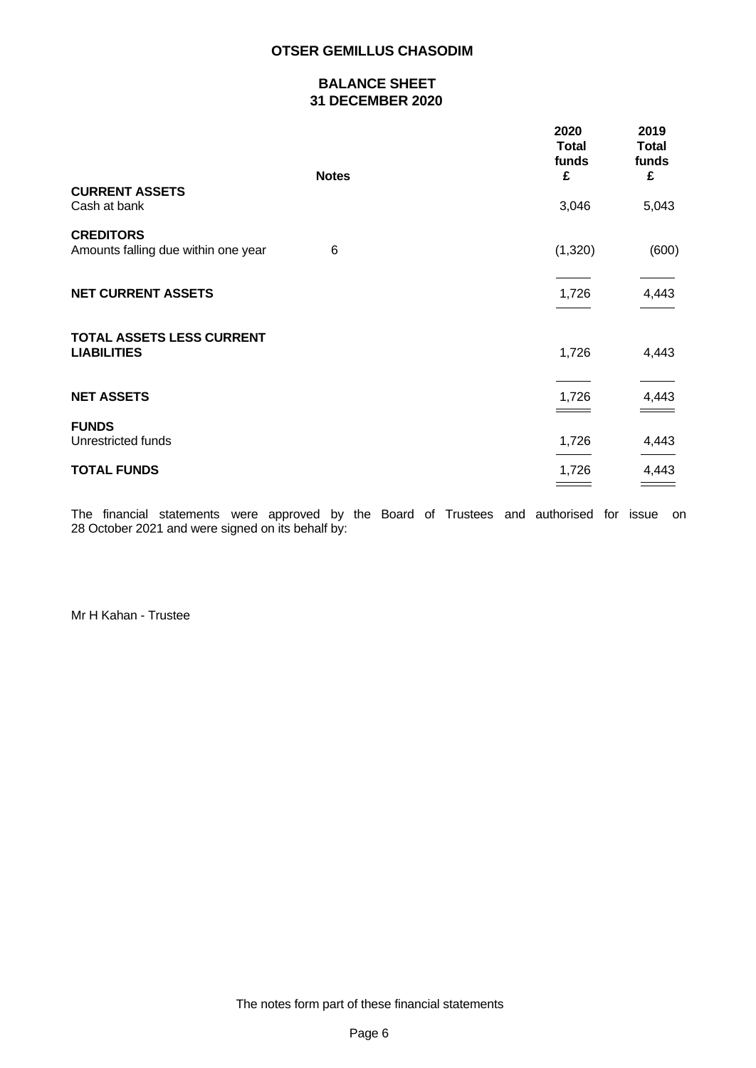# **BALANCE SHEET 31 DECEMBER 2020**

|                                                         |              | 2020<br><b>Total</b><br>funds | 2019<br><b>Total</b><br>funds |  |
|---------------------------------------------------------|--------------|-------------------------------|-------------------------------|--|
|                                                         | <b>Notes</b> | £                             | £                             |  |
| <b>CURRENT ASSETS</b><br>Cash at bank                   |              | 3,046                         | 5,043                         |  |
| <b>CREDITORS</b><br>Amounts falling due within one year | 6            | (1,320)                       | (600)                         |  |
| <b>NET CURRENT ASSETS</b>                               |              | 1,726                         | 4,443                         |  |
| TOTAL ASSETS LESS CURRENT<br><b>LIABILITIES</b>         |              | 1,726                         | 4,443                         |  |
| <b>NET ASSETS</b>                                       |              | 1,726                         | 4,443                         |  |
| <b>FUNDS</b><br>Unrestricted funds                      |              | 1,726                         | 4,443                         |  |
| <b>TOTAL FUNDS</b>                                      |              | 1,726                         | 4,443                         |  |
|                                                         |              |                               |                               |  |

The financial statements were approved by the Board of Trustees and authorised for issue on 28 October 2021 and were signed on its behalf by:

Mr H Kahan - Trustee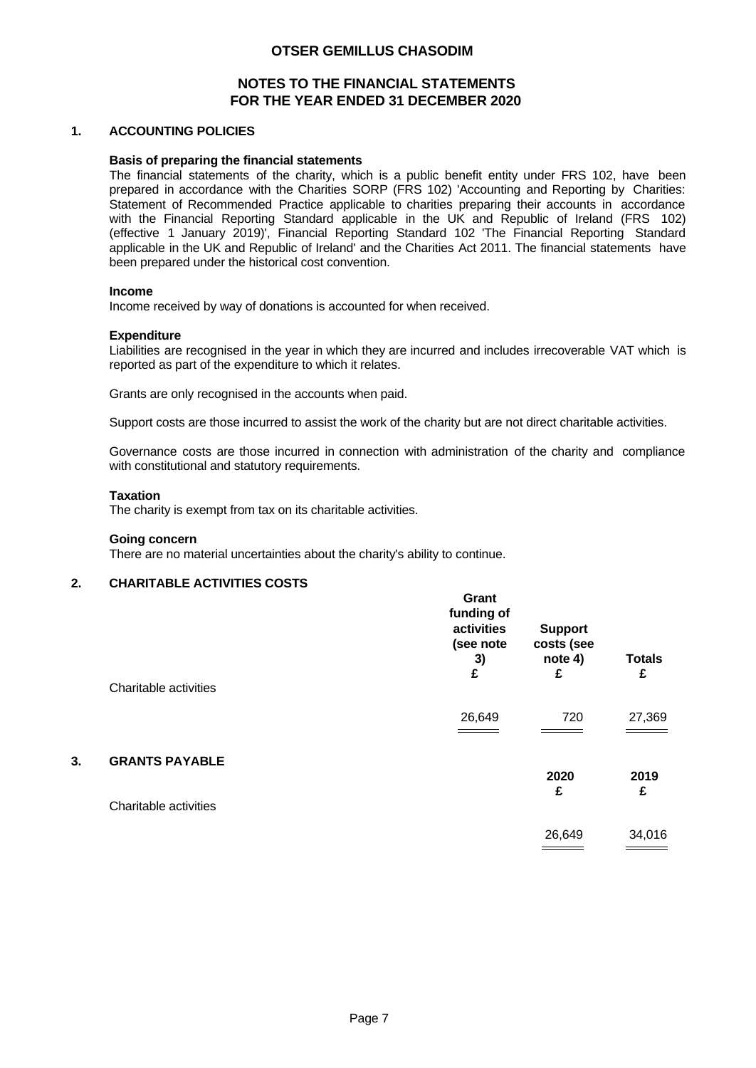# **NOTES TO THE FINANCIAL STATEMENTS FOR THE YEAR ENDED 31 DECEMBER 2020**

### **1. ACCOUNTING POLICIES**

#### **Basis of preparing the financial statements**

The financial statements of the charity, which is a public benefit entity under FRS 102, have been prepared in accordance with the Charities SORP (FRS 102) 'Accounting and Reporting by Charities: Statement of Recommended Practice applicable to charities preparing their accounts in accordance with the Financial Reporting Standard applicable in the UK and Republic of Ireland (FRS 102) (effective 1 January 2019)', Financial Reporting Standard 102 'The Financial Reporting Standard applicable in the UK and Republic of Ireland' and the Charities Act 2011. The financial statements have been prepared under the historical cost convention.

#### **Income**

Income received by way of donations is accounted for when received.

#### **Expenditure**

Liabilities are recognised in the year in which they are incurred and includes irrecoverable VAT which is reported as part of the expenditure to which it relates.

Grants are only recognised in the accounts when paid.

Support costs are those incurred to assist the work of the charity but are not direct charitable activities.

Governance costs are those incurred in connection with administration of the charity and compliance with constitutional and statutory requirements.

**Grant**

#### **Taxation**

The charity is exempt from tax on its charitable activities.

#### **Going concern**

There are no material uncertainties about the charity's ability to continue.

### **2. CHARITABLE ACTIVITIES COSTS**

|    | Charitable activities | UI di Il<br>funding of<br>activities<br>(see note<br>3)<br>£ | <b>Support</b><br>costs (see<br>note 4)<br>£ | <b>Totals</b><br>£ |
|----|-----------------------|--------------------------------------------------------------|----------------------------------------------|--------------------|
|    |                       | 26,649                                                       | 720                                          | 27,369             |
| 3. | <b>GRANTS PAYABLE</b> |                                                              | 2020                                         | 2019               |
|    | Charitable activities |                                                              | £                                            | £                  |
|    |                       |                                                              | 26,649                                       | 34,016             |
|    |                       |                                                              |                                              |                    |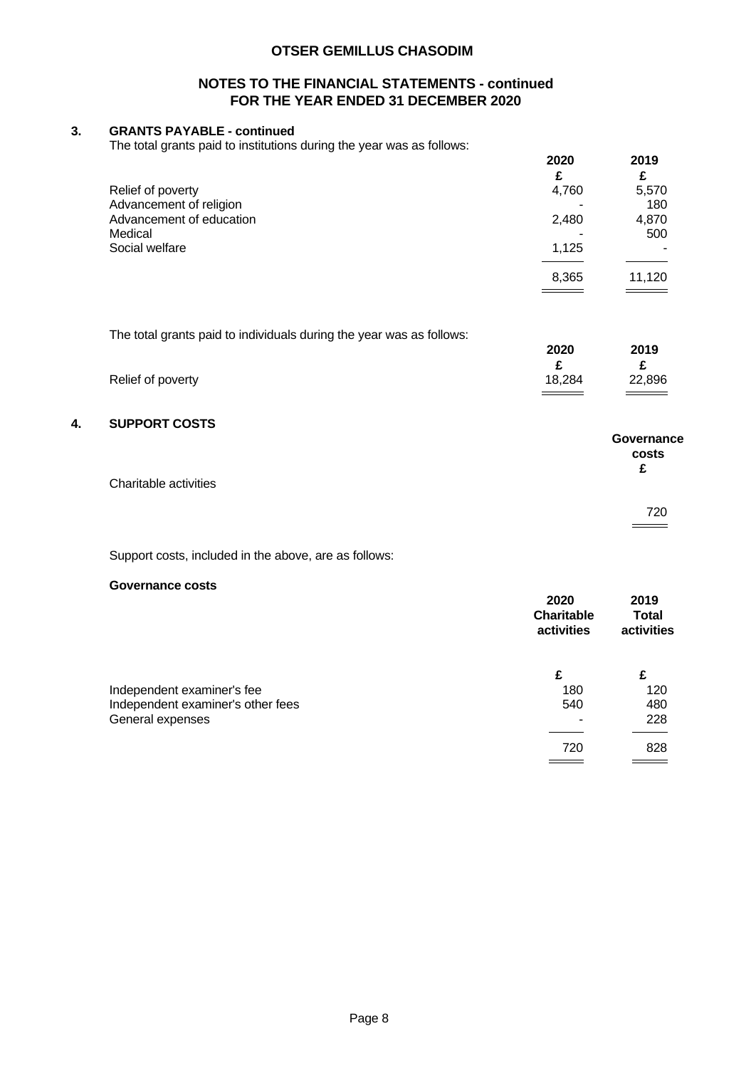## **NOTES TO THE FINANCIAL STATEMENTS - continued FOR THE YEAR ENDED 31 DECEMBER 2020**

## **3. GRANTS PAYABLE - continued**

The total grants paid to institutions during the year was as follows:

| 2020  | 2019  |        |
|-------|-------|--------|
|       | £     |        |
| 4,760 | 5,570 |        |
|       | 180   |        |
| 2,480 | 4,870 |        |
| ۰     | 500   |        |
| 1,125 | ٠     |        |
|       |       |        |
|       |       |        |
|       | 8,365 | 11,120 |

The total grants paid to individuals during the year was as follows:

|                   | 2020   | 2019   |
|-------------------|--------|--------|
|                   |        |        |
| Relief of poverty | 18,284 | 22,896 |
|                   |        |        |

### **4. SUPPORT COSTS**

| Charitable activities | Governance<br>costs<br>£ |
|-----------------------|--------------------------|
|                       | 720                      |

Support costs, included in the above, are as follows:

### **Governance costs**

|                                   | 2020<br><b>Charitable</b><br>activities | 2019<br><b>Total</b><br>activities |  |
|-----------------------------------|-----------------------------------------|------------------------------------|--|
|                                   | £                                       | £                                  |  |
| Independent examiner's fee        | 180                                     | 120                                |  |
| Independent examiner's other fees | 540                                     | 480                                |  |
| General expenses                  |                                         | 228                                |  |
|                                   |                                         |                                    |  |
|                                   | 720                                     | 828                                |  |
|                                   |                                         |                                    |  |